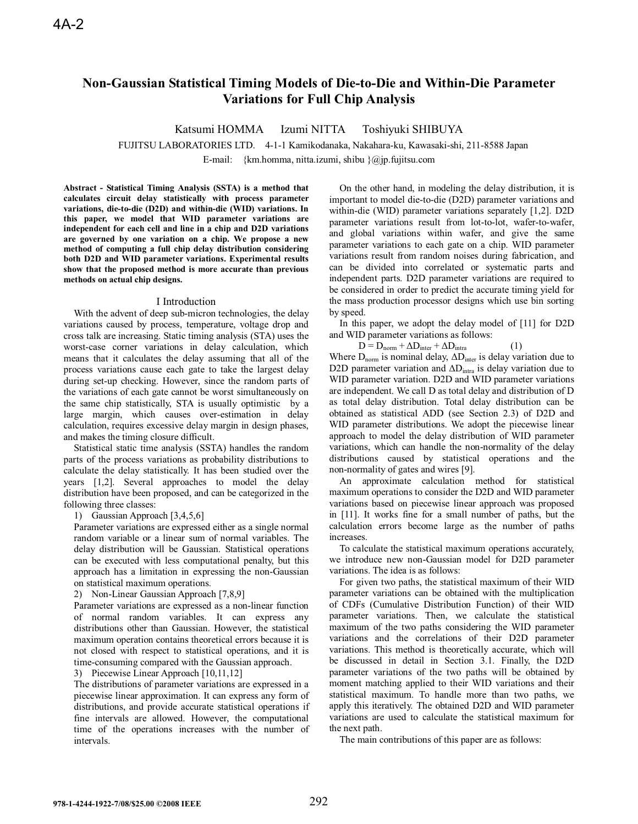# **Non-Gaussian Statistical Timing Models of Die-to-Die and Within-Die Parameter Variations for Full Chip Analysis**

Katsumi HOMMA Izumi NITTA Toshiyuki SHIBUYA

FUJITSU LABORATORIES LTD. 4-1-1 Kamikodanaka, Nakahara-ku, Kawasaki-shi, 211-8588 Japan

E-mail: {km.homma, nitta.izumi, shibu  $\langle \hat{\omega}$ jp.fujitsu.com

**Abstract - Statistical Timing Analysis (SSTA) is a method that calculates circuit delay statistically with process parameter variations, die-to-die (D2D) and within-die (WID) variations. In this paper, we model that WID parameter variations are independent for each cell and line in a chip and D2D variations are governed by one variation on a chip. We propose a new method of computing a full chip delay distribution considering both D2D and WID parameter variations. Experimental results show that the proposed method is more accurate than previous methods on actual chip designs.** 

### I Introduction

With the advent of deep sub-micron technologies, the delay variations caused by process, temperature, voltage drop and cross talk are increasing. Static timing analysis (STA) uses the worst-case corner variations in delay calculation, which means that it calculates the delay assuming that all of the process variations cause each gate to take the largest delay during set-up checking. However, since the random parts of the variations of each gate cannot be worst simultaneously on the same chip statistically, STA is usually optimistic by a large margin, which causes over-estimation in delay calculation, requires excessive delay margin in design phases, and makes the timing closure difficult.

Statistical static time analysis (SSTA) handles the random parts of the process variations as probability distributions to calculate the delay statistically. It has been studied over the years [1,2]. Several approaches to model the delay distribution have been proposed, and can be categorized in the following three classes:

### 1) Gaussian Approach [3,4,5,6]

Parameter variations are expressed either as a single normal random variable or a linear sum of normal variables. The delay distribution will be Gaussian. Statistical operations can be executed with less computational penalty, but this approach has a limitation in expressing the non-Gaussian on statistical maximum operations.

2) Non-Linear Gaussian Approach [7,8,9]

Parameter variations are expressed as a non-linear function of normal random variables. It can express any distributions other than Gaussian. However, the statistical maximum operation contains theoretical errors because it is not closed with respect to statistical operations, and it is time-consuming compared with the Gaussian approach.

3) Piecewise Linear Approach [10,11,12]

The distributions of parameter variations are expressed in a piecewise linear approximation. It can express any form of distributions, and provide accurate statistical operations if fine intervals are allowed. However, the computational time of the operations increases with the number of intervals.

On the other hand, in modeling the delay distribution, it is important to model die-to-die (D2D) parameter variations and within-die (WID) parameter variations separately [1,2]. D2D parameter variations result from lot-to-lot, wafer-to-wafer, and global variations within wafer, and give the same parameter variations to each gate on a chip. WID parameter variations result from random noises during fabrication, and can be divided into correlated or systematic parts and independent parts. D2D parameter variations are required to be considered in order to predict the accurate timing yield for the mass production processor designs which use bin sorting by speed.

In this paper, we adopt the delay model of [11] for D2D and WID parameter variations as follows:

 $D = D_{norm} + \Delta D_{inter} + \Delta D_{intra}$  (1)

Where  $D_{norm}$  is nominal delay,  $\Delta D_{inter}$  is delay variation due to D2D parameter variation and  $\Delta D_{intra}$  is delay variation due to WID parameter variation. D2D and WID parameter variations are independent. We call D as total delay and distribution of D as total delay distribution. Total delay distribution can be obtained as statistical ADD (see Section 2.3) of D2D and WID parameter distributions. We adopt the piecewise linear approach to model the delay distribution of WID parameter variations, which can handle the non-normality of the delay distributions caused by statistical operations and the non-normality of gates and wires [9].

An approximate calculation method for statistical maximum operations to consider the D2D and WID parameter variations based on piecewise linear approach was proposed in [11]. It works fine for a small number of paths, but the calculation errors become large as the number of paths increases.

To calculate the statistical maximum operations accurately, we introduce new non-Gaussian model for D2D parameter variations. The idea is as follows:

For given two paths, the statistical maximum of their WID parameter variations can be obtained with the multiplication of CDFs (Cumulative Distribution Function) of their WID parameter variations. Then, we calculate the statistical maximum of the two paths considering the WID parameter variations and the correlations of their D2D parameter variations. This method is theoretically accurate, which will be discussed in detail in Section 3.1. Finally, the D2D parameter variations of the two paths will be obtained by moment matching applied to their WID variations and their statistical maximum. To handle more than two paths, we apply this iteratively. The obtained D2D and WID parameter variations are used to calculate the statistical maximum for the next path.

The main contributions of this paper are as follows: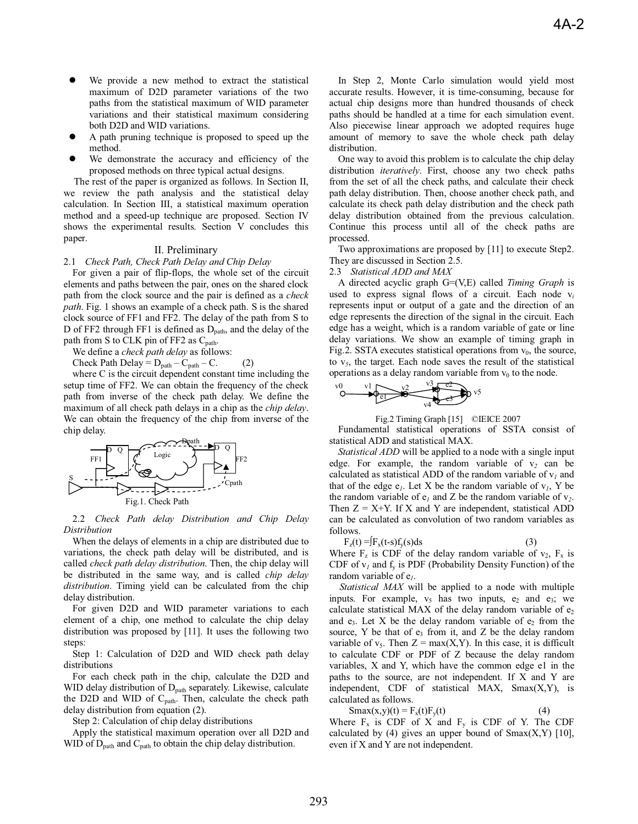- We provide a new method to extract the statistical maximum of D2D parameter variations of the two paths from the statistical maximum of WID parameter variations and their statistical maximum considering both D2D and WID variations.
- A path pruning technique is proposed to speed up the method.
- We demonstrate the accuracy and efficiency of the proposed methods on three typical actual designs.

The rest of the paper is organized as follows. In Section II, we review the path analysis and the statistical delay calculation. In Section III, a statistical maximum operation method and a speed-up technique are proposed. Section IV shows the experimental results. Section V concludes this paper.

### II. Preliminary

#### 2.1 *Check Path, Check Path Delay and Chip Delay*

For given a pair of flip-flops, the whole set of the circuit elements and paths between the pair, ones on the shared clock path from the clock source and the pair is defined as a *check path*. Fig. 1 shows an example of a check path. S is the shared clock source of FF1 and FF2. The delay of the path from S to D of FF2 through FF1 is defined as  $D_{path}$ , and the delay of the path from S to CLK pin of FF2 as C<sub>path</sub>.

We define a *check path delay* as follows:

Check Path Delay =  $D_{path} - C_{path} - C$ . (2)

where C is the circuit dependent constant time including the setup time of FF2. We can obtain the frequency of the check path from inverse of the check path delay. We define the maximum of all check path delays in a chip as the *chip delay*. We can obtain the frequency of the chip from inverse of the chip delay.



2.2 *Check Path delay Distribution and Chip Delay Distribution* 

When the delays of elements in a chip are distributed due to variations, the check path delay will be distributed, and is called *check path delay distribution*. Then, the chip delay will be distributed in the same way, and is called *chip delay distribution*. Timing yield can be calculated from the chip delay distribution.

For given D2D and WID parameter variations to each element of a chip, one method to calculate the chip delay distribution was proposed by [11]. It uses the following two steps:

Step 1: Calculation of D2D and WID check path delay distributions

For each check path in the chip, calculate the D2D and WID delay distribution of D<sub>path</sub> separately. Likewise, calculate the D2D and WID of  $C_{path}$ . Then, calculate the check path delay distribution from equation (2).

Step 2: Calculation of chip delay distributions

Apply the statistical maximum operation over all D2D and WID of  $D_{path}$  and  $C_{path}$  to obtain the chip delay distribution.

In Step 2, Monte Carlo simulation would yield most accurate results. However, it is time-consuming, because for actual chip designs more than hundred thousands of check paths should be handled at a time for each simulation event. Also piecewise linear approach we adopted requires huge amount of memory to save the whole check path delay distribution.

One way to avoid this problem is to calculate the chip delay distribution *iteratively*. First, choose any two check paths from the set of all the check paths, and calculate their check path delay distribution. Then, choose another check path, and calculate its check path delay distribution and the check path delay distribution obtained from the previous calculation. Continue this process until all of the check paths are processed.

Two approximations are proposed by [11] to execute Step2. They are discussed in Section 2.5.

2.3 *Statistical ADD and MAX* 

A directed acyclic graph G=(V,E) called *Timing Graph* is used to express signal flows of a circuit. Each node v*<sup>i</sup>* represents input or output of a gate and the direction of an edge represents the direction of the signal in the circuit. Each edge has a weight, which is a random variable of gate or line delay variations. We show an example of timing graph in Fig.2. SSTA executes statistical operations from  $v_0$ , the source, to v*5*, the target. Each node saves the result of the statistical operations as a delay random variable from  $v_0$  to the node.



Fig.2 Timing Graph [15] ©IEICE 2007

Fundamental statistical operations of SSTA consist of statistical ADD and statistical MAX.

*Statistical ADD* will be applied to a node with a single input edge. For example, the random variable of  $v_2$  can be calculated as statistical ADD of the random variable of  $v_l$  and that of the edge  $e_l$ . Let X be the random variable of  $v_l$ , Y be the random variable of  $e_1$  and Z be the random variable of  $v_2$ . Then  $Z = X+Y$ . If X and Y are independent, statistical ADD can be calculated as convolution of two random variables as follows.

$$
F_z(t) = F_x(t-s)f_y(s)ds
$$
 (3)

Where  $F_z$  is CDF of the delay random variable of  $v_2$ ,  $F_x$  is CDF of  $v_I$  and  $f_v$  is PDF (Probability Density Function) of the random variable of e*1*.

*Statistical MAX* will be applied to a node with multiple inputs. For example,  $v_5$  has two inputs,  $e_2$  and  $e_3$ ; we calculate statistical MAX of the delay random variable of  $e_2$ and  $e_3$ . Let X be the delay random variable of  $e_2$  from the source, Y be that of  $e_3$  from it, and Z be the delay random variable of  $v_5$ . Then  $Z = max(X, Y)$ . In this case, it is difficult to calculate CDF or PDF of Z because the delay random variables, X and Y, which have the common edge e1 in the paths to the source, are not independent. If X and Y are independent, CDF of statistical MAX, Smax(X,Y), is calculated as follows.

$$
Smax(x,y)(t) = F_x(t)F_y(t)
$$
 (4)

Where  $F_x$  is CDF of X and  $F_y$  is CDF of Y. The CDF calculated by (4) gives an upper bound of  $Smax(X, Y)$  [10], even if X and Y are not independent.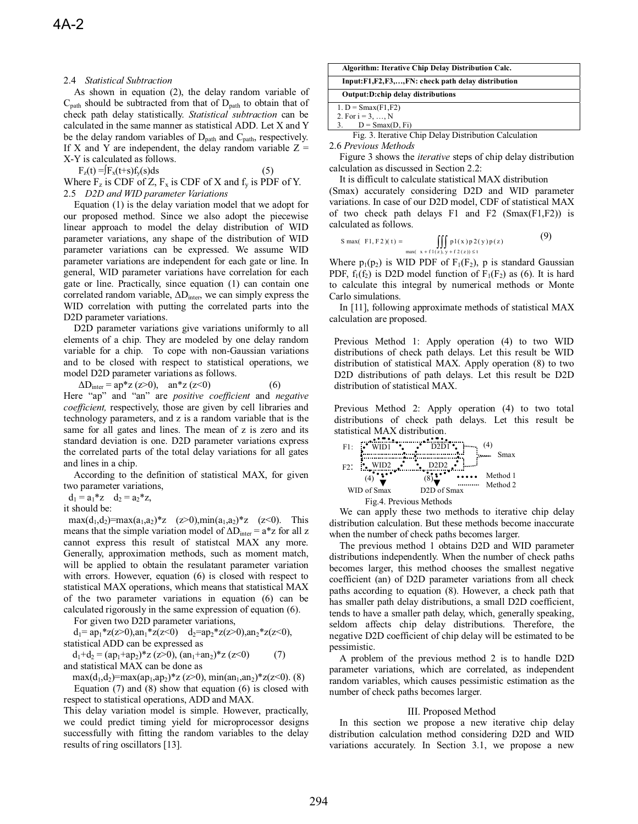## 2.4 *Statistical Subtraction*

As shown in equation (2), the delay random variable of  $C_{\text{path}}$  should be subtracted from that of  $D_{\text{path}}$  to obtain that of check path delay statistically. *Statistical subtraction* can be calculated in the same manner as statistical ADD. Let X and Y be the delay random variables of  $D_{path}$  and  $C_{path}$ , respectively. If X and Y are independent, the delay random variable  $Z =$ X-Y is calculated as follows.

 $F_z(t) = f_x(t+s)f_y(s)ds$  (5)

Where  $F_z$  is CDF of Z,  $F_x$  is CDF of X and  $f_y$  is PDF of Y. 2.5 *D2D and WID parameter Variations* 

Equation (1) is the delay variation model that we adopt for our proposed method. Since we also adopt the piecewise linear approach to model the delay distribution of WID parameter variations, any shape of the distribution of WID parameter variations can be expressed. We assume WID parameter variations are independent for each gate or line. In general, WID parameter variations have correlation for each gate or line. Practically, since equation (1) can contain one correlated random variable,  $\Delta D_{inter}$ , we can simply express the WID correlation with putting the correlated parts into the D2D parameter variations.

D2D parameter variations give variations uniformly to all elements of a chip. They are modeled by one delay random variable for a chip. To cope with non-Gaussian variations and to be closed with respect to statistical operations, we model D2D parameter variations as follows.

$$
\Delta D_{\text{inter}} = \text{ap}^* z \text{ (z>0)}, \quad \text{an}^* z \text{ (z<0)} \tag{6}
$$

Here "ap" and "an" are *positive coefficient* and *negative coefficient,* respectively, those are given by cell libraries and technology parameters, and z is a random variable that is the same for all gates and lines. The mean of z is zero and its standard deviation is one. D2D parameter variations express the correlated parts of the total delay variations for all gates and lines in a chip.

 According to the definition of statistical MAX, for given two parameter variations,

 $d_1 = a_1 * z \quad d_2 = a_2 * z,$ 

it should be:

 $max(d_1, d_2) = max(a_1, a_2) * z$  (z>0),min(a<sub>1</sub>,a<sub>2</sub>)\*z (z<0). This means that the simple variation model of  $\Delta D_{inter} = a \cdot z$  for all z cannot express this result of statistcal MAX any more. Generally, approximation methods, such as moment match, will be applied to obtain the resulatant parameter variation with errors. However, equation (6) is closed with respect to statistical MAX operations, which means that statistical MAX of the two parameter variations in equation (6) can be calculated rigorously in the same expression of equation (6).

For given two D2D parameter variations,

 $d_1 = a p_1 * z(z>0), a n_1 * z(z<0)$   $d_2 = a p_2 * z(z>0), a n_2 * z(z<0),$ statistical ADD can be expressed as

 $d_1+d_2 = (ap_1+ap_2)^*z$  ( $z>0$ ),  $(an_1+an_2)^*z$  ( $z<0$ ) (7) and statistical MAX can be done as

max(d<sub>1</sub>,d<sub>2</sub>)=max(ap<sub>1</sub>,ap<sub>2</sub>)\*z (z>0), min(an<sub>1</sub>,an<sub>2</sub>)\*z(z<0). (8) Equation (7) and (8) show that equation (6) is closed with respect to statistical operations, ADD and MAX.

This delay variation model is simple. However, practically, we could predict timing yield for microprocessor designs successfully with fitting the random variables to the delay results of ring oscillators [13].

| Algorithm: Iterative Chip Delay Distribution Calc.    |  |  |
|-------------------------------------------------------|--|--|
| Input:F1,F2,F3,,FN: check path delay distribution     |  |  |
| Output:D:chip delay distributions                     |  |  |
| 1. $D = \text{Smax}(F1, F2)$                          |  |  |
| 2. For $i = 3, , N$                                   |  |  |
| 3. $D = \text{Smax}(D, Fi)$                           |  |  |
| Fig. 3. Iterative Chip Delay Distribution Calculation |  |  |

2.6 *Previous Methods* 

Figure 3 shows the *iterative* steps of chip delay distribution calculation as discussed in Section 2.2:

It is difficult to calculate statistical MAX distribution (Smax) accurately considering D2D and WID parameter variations. In case of our D2D model, CDF of statistical MAX of two check path delays  $F1$  and  $F2$  (Smax(F1,F2)) is calculated as follows.

$$
S \max(\ F1, F2)(t) = \iiint_{\max(x + f1(z), y + f2(z)) \le t} p1(x) p2(y) p(z)
$$
 (9)

Where  $p_1(p_2)$  is WID PDF of  $F_1(F_2)$ , p is standard Gaussian PDF,  $f_1(f_2)$  is D2D model function of  $F_1(F_2)$  as (6). It is hard to calculate this integral by numerical methods or Monte Carlo simulations.

In [11], following approximate methods of statistical MAX calculation are proposed.

Previous Method 1: Apply operation (4) to two WID distributions of check path delays. Let this result be WID distribution of statistical MAX. Apply operation (8) to two D2D distributions of path delays. Let this result be D2D distribution of statistical MAX.

Previous Method 2: Apply operation (4) to two total distributions of check path delays. Let this result be statistical MAX distribution.

Fig.4. Previous Methods WID1 WID2 D2D1 D2D2 F1: F2: Smax WID of Smax D2D of Smax Method 1 Method 2 (4) (8) (4)

We can apply these two methods to iterative chip delay distribution calculation. But these methods become inaccurate when the number of check paths becomes larger.

The previous method 1 obtains D2D and WID parameter distributions independently. When the number of check paths becomes larger, this method chooses the smallest negative coefficient (an) of D2D parameter variations from all check paths according to equation (8). However, a check path that has smaller path delay distributions, a small D2D coefficient, tends to have a smaller path delay, which, generally speaking, seldom affects chip delay distributions. Therefore, the negative D2D coefficient of chip delay will be estimated to be pessimistic.

A problem of the previous method 2 is to handle D2D parameter variations, which are correlated, as independent random variables, which causes pessimistic estimation as the number of check paths becomes larger.

### III. Proposed Method

In this section we propose a new iterative chip delay distribution calculation method considering D2D and WID variations accurately. In Section 3.1, we propose a new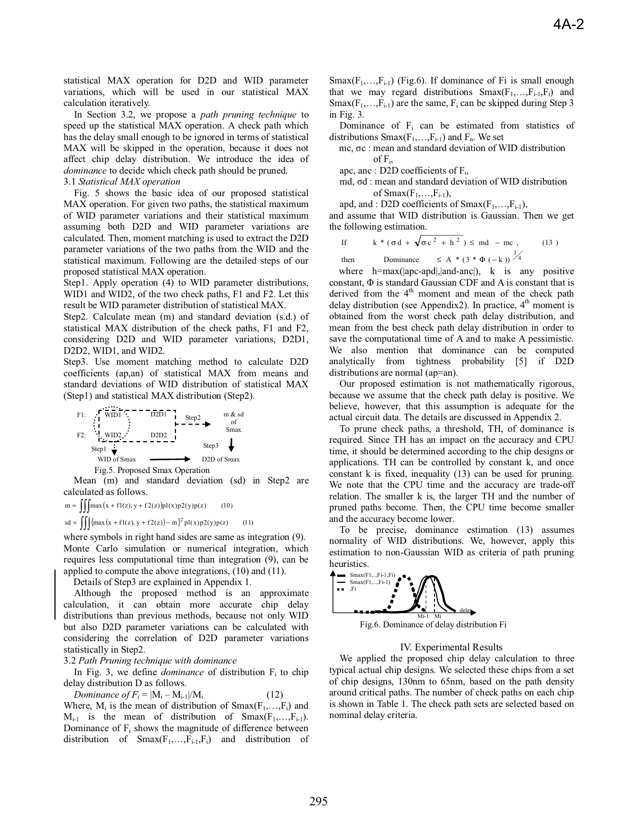statistical MAX operation for D2D and WID parameter variations, which will be used in our statistical MAX calculation iteratively.

In Section 3.2, we propose a *path pruning technique* to speed up the statistical MAX operation. A check path which has the delay small enough to be ignored in terms of statistical MAX will be skipped in the operation, because it does not affect chip delay distribution. We introduce the idea of *dominance* to decide which check path should be pruned. 3.1 *Statistical MAX operation* 

Fig. 5 shows the basic idea of our proposed statistical MAX operation. For given two paths, the statistical maximum of WID parameter variations and their statistical maximum assuming both D2D and WID parameter variations are calculated. Then, moment matching is used to extract the D2D parameter variations of the two paths from the WID and the statistical maximum. Following are the detailed steps of our proposed statistical MAX operation.

Step1. Apply operation (4) to WID parameter distributions, WID1 and WID2, of the two check paths, F1 and F2. Let this result be WID parameter distribution of statistical MAX.

Step2. Calculate mean (m) and standard deviation (s.d.) of statistical MAX distribution of the check paths, F1 and F2, considering D2D and WID parameter variations, D2D1, D2D2, WID1, and WID2.

Step3. Use moment matching method to calculate D2D coefficients (ap,an) of statistical MAX from means and standard deviations of WID distribution of statistical MAX (Step1) and statistical MAX distribution (Step2).

Fig.5. Proposed Smax Operation WID1 WID2 D2D1 D2D2 F1: F2: Step1 WID of Smax m & sd of Smax Step2 Step3 D2D of Smax

Mean (m) and standard deviation (sd) in Step2 are calculated as follows.

 $m = \iiint \max(x + f1(z), y + f2(z))p1(x)p2(y)p(z)$  (10)  $sd = \iiint \{ max (x + f1(z), y + f2(z)) - m \}^2 pl(x)p2(y)p(z)$  (11)

where symbols in right hand sides are same as integration (9). Monte Carlo simulation or numerical integration, which requires less computational time than integration (9), can be applied to compute the above integrations, (10) and (11).

Details of Step3 are explained in Appendix 1.

Although the proposed method is an approximate calculation, it can obtain more accurate chip delay distributions than previous methods, because not only WID but also D2D parameter variations can be calculated with considering the correlation of D2D parameter variations statistically in Step2.

3.2 *Path Pruning technique with dominance*

In Fig. 3, we define *dominance* of distribution  $F_i$  to chip delay distribution D as follows.

*Dominance of F<sub>i</sub>* =  $|M_i - M_{i-1}|/M_i$ 

Where,  $M_i$  is the mean of distribution of  $Smax(F_1,...,F_i)$  and  $M_{i-1}$  is the mean of distribution of  $Smax(F_1,...,F_{i-1})$ . Dominance of Fi shows the magnitude of difference between distribution of  $Smax(F_1,...,F_{i-1},F_i)$  and distribution of  $Smax(F_1,...,F_{i-1})$  (Fig.6). If dominance of Fi is small enough that we may regard distributions  $Smax(F_1,...,F_{i-1},F_i)$  and  $Smax(F_1,...,F_{i-1})$  are the same,  $F_i$  can be skipped during Step 3 in Fig. 3.

Dominance of  $F_i$  can be estimated from statistics of distributions  $Smax(F_1,...,F_{i-1})$  and  $F_n$ . We set

mc,  $\sigma$ c : mean and standard deviation of WID distribution of  $F_i$ ,

apc, anc : D2D coefficients of  $F_i$ ,

md,  $\sigma d$  : mean and standard deviation of WID distribution of  $Smax(F_1, \ldots, F_{i-1}),$ 

apd, and : D2D coefficients of  $Smax(F_1,...,F_{i-1}),$ 

and assume that WID distribution is Gaussian. Then we get the following estimation.

If 
$$
k * (\sigma d + \sqrt{\sigma c^2 + h^2}) \leq md - mc
$$
, (13)  
then Dominance  $\leq A * (3 * \Phi(-k))^{3/4}$ 

where h=max(|apc-apd|,|and-anc|), k is any positive constant,  $\Phi$  is standard Gaussian CDF and A is constant that is derived from the  $4<sup>th</sup>$  moment and mean of the check path delay distribution (see Appendix2). In practice,  $4<sup>th</sup>$  moment is obtained from the worst check path delay distribution, and mean from the best check path delay distribution in order to save the computational time of A and to make A pessimistic. We also mention that dominance can be computed analytically from tightness probability [5] if D2D distributions are normal (ap=an).

Our proposed estimation is not mathematically rigorous, because we assume that the check path delay is positive. We believe, however, that this assumption is adequate for the actual circuit data. The details are discussed in Appendix 2.

To prune check paths, a threshold, TH, of dominance is required. Since TH has an impact on the accuracy and CPU time, it should be determined according to the chip designs or applications. TH can be controlled by constant k, and once constant k is fixed, inequality (13) can be used for pruning. We note that the CPU time and the accuracy are trade-off relation. The smaller k is, the larger TH and the number of pruned paths become. Then, the CPU time become smaller and the accuracy become lower.

To be precise, dominance estimation (13) assumes normality of WID distributions. We, however, apply this estimation to non-Gaussian WID as criteria of path pruning heuristics.



Fig.6. Dominance of delay distribution Fi

### IV. Experimental Results

We applied the proposed chip delay calculation to three typical actual chip designs. We selected these chips from a set of chip designs, 130nm to 65nm, based on the path density around critical paths. The number of check paths on each chip is shown in Table 1. The check path sets are selected based on nominal delay criteria.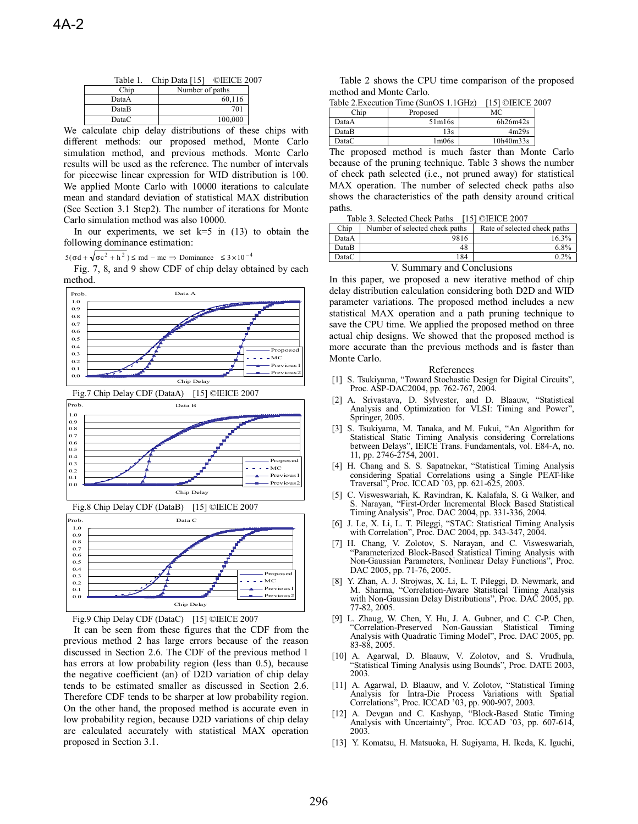| Table 1.                          | ©IEICE 2007<br>Chip Data $[15]$ |  |
|-----------------------------------|---------------------------------|--|
| Chip                              | Number of paths                 |  |
| DataA                             | 60,116                          |  |
| DataB                             | 701                             |  |
| DataC                             | 100,000                         |  |
| the company's company's company's | $\cdots$<br>$\sim$ $\sim$       |  |

We calculate chip delay distributions of these chips with different methods: our proposed method, Monte Carlo simulation method, and previous methods. Monte Carlo results will be used as the reference. The number of intervals for piecewise linear expression for WID distribution is 100. We applied Monte Carlo with 10000 iterations to calculate mean and standard deviation of statistical MAX distribution (See Section 3.1 Step2). The number of iterations for Monte Carlo simulation method was also 10000.

In our experiments, we set  $k=5$  in (13) to obtain the following dominance estimation:

 $5(\sigma d + \sqrt{\sigma c^2 + h^2}) \leq m d - mc \Rightarrow$  Dominance  $\leq 3 \times 10^{-4}$ 

Fig. 7, 8, and 9 show CDF of chip delay obtained by each method.





0.0 0.1 0.2

It can be seen from these figures that the CDF from the previous method 2 has large errors because of the reason discussed in Section 2.6. The CDF of the previous method 1 has errors at low probability region (less than 0.5), because the negative coefficient (an) of D2D variation of chip delay tends to be estimated smaller as discussed in Section 2.6. Therefore CDF tends to be sharper at low probability region. On the other hand, the proposed method is accurate even in low probability region, because D2D variations of chip delay are calculated accurately with statistical MAX operation proposed in Section 3.1.

Chip Delay

 $-MC$ Previous Previous

 $\sim$ 

Table 2 shows the CPU time comparison of the proposed method and Monte Carlo.

| Table 2. Execution Time (SunOS 1.1GHz) [15] ©IEICE 2007 |  |  |  |  |
|---------------------------------------------------------|--|--|--|--|
|---------------------------------------------------------|--|--|--|--|

| Chip  | Proposed                       | МC        |
|-------|--------------------------------|-----------|
| DataA | 51m16s                         | 6h26m42s  |
| DataB | 13s                            | 4m29s     |
| DataC | 1 <sub>m</sub> 06 <sub>s</sub> | 10h40m33s |
|       |                                | $-$       |

The proposed method is much faster than Monte Carlo because of the pruning technique. Table 3 shows the number of check path selected (i.e., not pruned away) for statistical MAX operation. The number of selected check paths also shows the characteristics of the path density around critical paths.

| Table 3. Selected Check Paths [15] ©IEICE 2007 |  |  |
|------------------------------------------------|--|--|
|------------------------------------------------|--|--|

| Chip  | Number of selected check paths | Rate of selected check paths |
|-------|--------------------------------|------------------------------|
| DataA | 9816                           | 16.3%                        |
| DataB | 48                             | 6.8%                         |
| DataC | 184                            | $0.2\%$                      |

#### V. Summary and Conclusions

In this paper, we proposed a new iterative method of chip delay distribution calculation considering both D2D and WID parameter variations. The proposed method includes a new statistical MAX operation and a path pruning technique to save the CPU time. We applied the proposed method on three actual chip designs. We showed that the proposed method is more accurate than the previous methods and is faster than Monte Carlo.

#### References

- [1] S. Tsukiyama, "Toward Stochastic Design for Digital Circuits", Proc. ASP-DAC2004, pp. 762-767, 2004.
- [2] A. Srivastava, D. Sylvester, and D. Blaauw, "Statistical Analysis and Optimization for VLSI: Timing and Power", Springer, 2005.
- [3] S. Tsukiyama, M. Tanaka, and M. Fukui, "An Algorithm for Statistical Static Timing Analysis considering Correlations between Delays", IEICE Trans. Fundamentals, vol. E84-A, no. 11, pp. 2746-2754, 2001.
- [4] H. Chang and S. S. Sapatnekar, "Statistical Timing Analysis considering Spatial Correlations using a Single PEAT-like Traversal", Proc. ICCAD '03, pp. 621-625, 2003.
- [5] C. Visweswariah, K. Ravindran, K. Kalafala, S. G. Walker, and S. Narayan, "First-Order Incremental Block Based Statistical Timing Analysis", Proc. DAC 2004, pp. 331-336, 2004.
- [6] J. Le, X. Li, L. T. Pileggi, "STAC: Statistical Timing Analysis with Correlation", Proc. DAC 2004, pp. 343-347, 2004.
- [7] H. Chang, V. Zolotov, S. Narayan, and C. Visweswariah, "Parameterized Block-Based Statistical Timing Analysis with Non-Gaussian Parameters, Nonlinear Delay Functions", Proc. DAC 2005, pp. 71-76, 2005.
- [8] Y. Zhan, A. J. Strojwas, X. Li, L. T. Pileggi, D. Newmark, and M. Sharma, "Correlation-Aware Statistical Timing Analysis with Non-Gaussian Delay Distributions", Proc. DAC 2005, pp. 77-82, 2005.
- [9] L. Zhaug, W. Chen, Y. Hu, J. A. Gubner, and C. C-P. Chen, "Correlation-Preserved Non-Gaussian Statistical Timing Analysis with Quadratic Timing Model", Proc. DAC 2005, pp. 83-88, 2005.
- [10] A. Agarwal, D. Blaauw, V. Zolotov, and S. Vrudhula, "Statistical Timing Analysis using Bounds", Proc. DATE 2003, 2003.
- [11] A. Agarwal, D. Blaauw, and V. Zolotov, "Statistical Timing Analysis for Intra-Die Process Variations with Spatial Correlations", Proc. ICCAD '03, pp. 900-907, 2003.
- A. Devgan and C. Kashyap, "Block-Based Static Timing Analysis with Uncertainty", Proc. ICCAD '03, pp. 607-614, 2003.
- [13] Y. Komatsu, H. Matsuoka, H. Sugiyama, H. Ikeda, K. Iguchi,